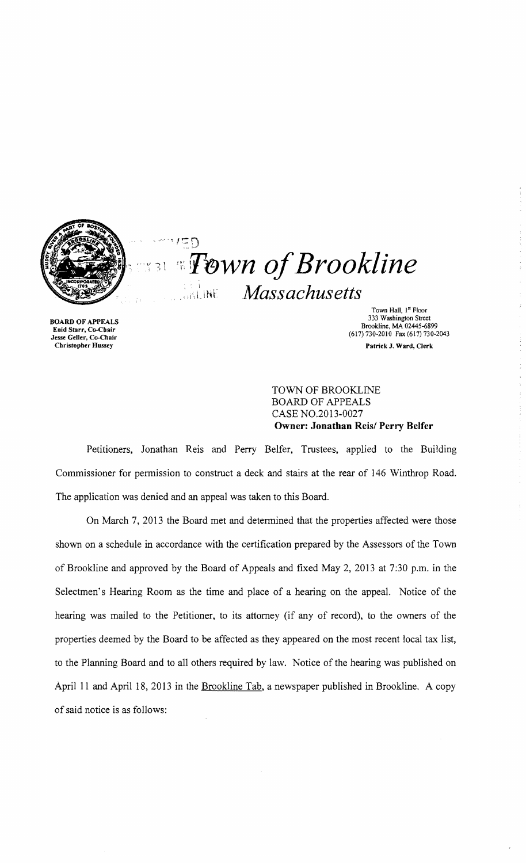

# $\mathbb{Z} \, \mathbb{D}$  $\overline{3}$ ! *I'Dwn of Brookline*

 $Massachusetts$ 

BOARD OF APPEALS Enid Starr, Co-Chair Jesse Geller, Co-Chair Christopher Hussey

Town Hall, I<sup>st</sup> Floor 333 Washington Street Brookline, MA 02445-6899 (617) 730-2010 Fax (617) 730-2043 Patrick J. Ward, Clerk

TOWN OF BROOKLINE BOARD OF APPEALS CASE N0.2013-0027 Owner: Jonathan Reis/ Perry Belfer

Petitioners, Jonathan Reis and Perry Belfer, Trustees, applied to the Building Commissioner for permission to construct a deck and stairs at the rear of 146 Winthrop Road. The application was denied and an appeal was taken to this Board.

 $\frac{1}{2}$  $\frac{1}{10}$  $\frac{1}{10}$ 

On March 7,2013 the Board met and determined that the properties affected were those shown on a schedule in accordance with the certification prepared by the Assessors of the Town of Brookline and approved by the Board of Appeals and fixed May 2, 2013 at 7:30 p.m. in the Selectmen's Hearing Room as the time and place of a hearing on the appeaL Notice of the hearing was mailed to the Petitioner, to its attorney (if any of record), to the owners of the properties deemed by the Board to be affected as they appeared on the most recent local tax list, to the Planning Board and to all others required by law. Notice of the hearing was published on April 11 and April 18, 2013 in the Brookline Tab, a newspaper published in Brookline. A copy of said notice is as follows: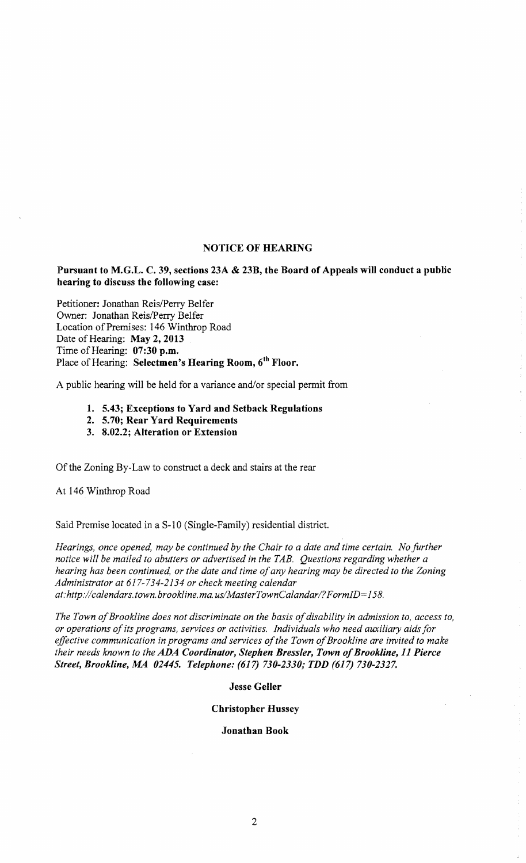# NOTICE OF HEARING

# Pursuant to M.G.L. C. 39, sections 23A & 23B, the Board of Appeals will conduct a public hearing to discuss the following case:

Petitioner: Jonathan Reis/Perry Belfer Owner: Jonathan Reis/Perry Belfer Location of Premises: 146 Winthrop Road Date of Hearing: May 2, 2013 Time of Hearing: 07:30 p.m. Place of Hearing: Selectmen's Hearing Room, 6<sup>th</sup> Floor.

A public hearing will be held for a variance and/or special permit from

- 1. 5.43; Exceptions to Yard and Setback Regulations
- 2. 5.70; Rear Yard Requirements
- 3. 8.02.2; Alteration or Extension

Of the Zoning By-Law to construct a deck and stairs at the rear

At 146 Winthrop Road

Said Premise located in a S-10 (Single-Family) residential district.

*Hearings, once opened, may be continued by the Chair to a date and time certain. No further notice will be mailed to abutters or advertised in the TAB. Questions regarding whether a hearing has been continued, or the date and time ofany hearing may be directed to the Zoning Administrator at* 617-734-2134 *or check meeting calendar at:http://calendars.town.brookline.ma.usIMasterTownCalandar/? FormID= 158.* 

The Town of Brookline does not discriminate on the basis of disability in admission to, access to, *or operations ofits programs, services or activities. Individuals who need auxiliary aids for*  effective communication in programs and services of the Town of Brookline are invited to make *their needs known to the* ADA *Coordinator, Stephen Bressler, Town ofBrookline,* 11 *Pierce Street, Brookline,* J.1A *02445. Telephone:* (617) *730-2330; TDD* (617) *730-2327.* 

Jesse Geller

Christopher Hussey

#### Jonathan Book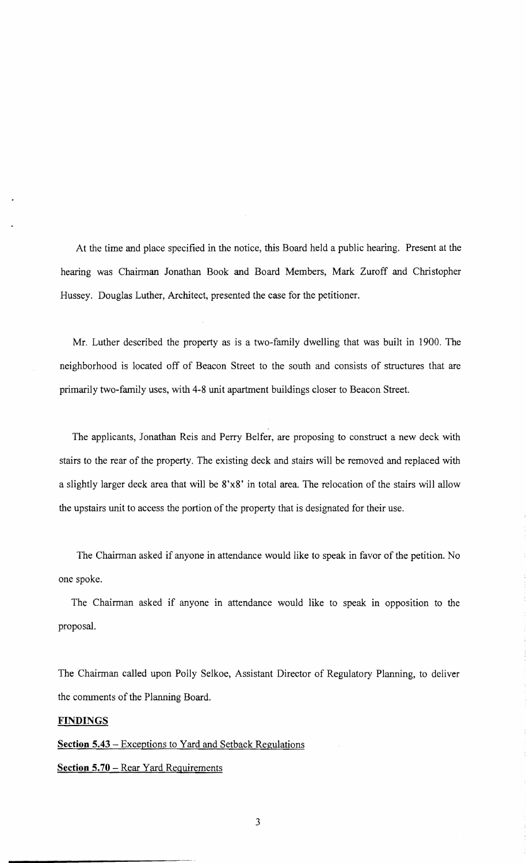At the time and place specified in the notice, this Board held a public hearing. Present at the hearing was Chairman Jonathan Book and Board Members, Mark Zuroff and Christopher Hussey. Douglas Luther, Architect, presented the case for the petitioner.

Mr. Luther described the property as is a two-family dwelling that was built in 1900. The neighborhood is located off of Beacon Street to the south and consists of structures that are primarily two-family uses, with 4-8 unit apartment buildings closer to Beacon Street.

The applicants, Jonathan Reis and Perry Belfer, are proposing to construct a new deck with stairs to the rear of the property. The existing deck and stairs will be removed and replaced with a slightly larger deck area that will be 8'x8' in total area. The relocation of the stairs will allow the upstairs unit to access the portion of the property that is designated for their use.

The Chairman asked if anyone in attendance would like to speak in favor of the petition. No one spoke.

The Chairman asked if anyone in attendance would like to speak in opposition to the proposal.

The Chairman called upon Polly Selkoe, Assistant Director of Regulatory Planning, to deliver the comments of the Planning Board.

# **FINDINGS**

# **Section 5.43** - Exceptions to Yard and Setback Regulations **Section 5.70 – Rear Yard Requirements**

3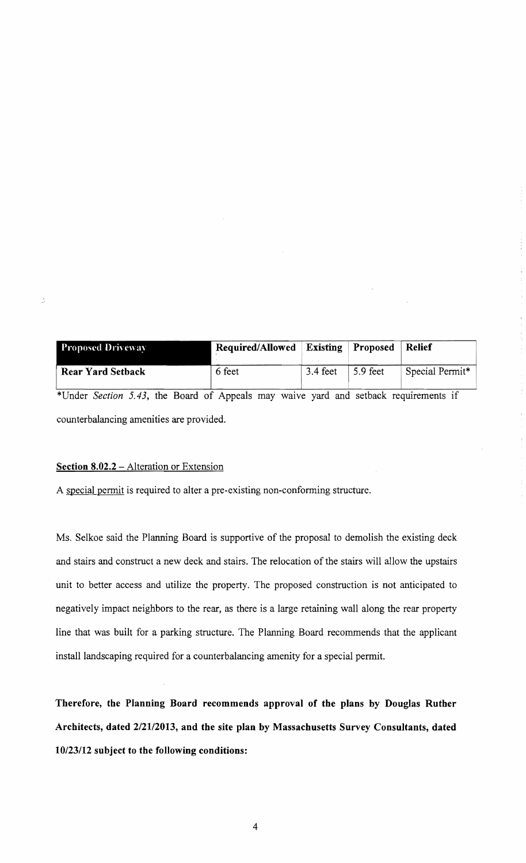| <b>Proposed Driveway</b> | Required/Allowed |            | <b>Existing</b> Proposed | <b>Relief</b>   |
|--------------------------|------------------|------------|--------------------------|-----------------|
| <b>Rear Yard Setback</b> | 6 feet           | $3.4$ feet | 5.9 feet                 | Special Permit* |

\*Under *Section* 5.43, the Board of Appeals may waive yard and setback requirements if counterbalancing amenities are provided.

### **Section 8.02.2** - Alteration or Extension

A special permit is required to alter a pre-existing non-conforming structure.

Ms. Selkoe said the Planning Board is supportive of the proposal to demolish the existing deck and stairs and construct a new deck and stairs. The relocation of the stairs will allow the upstairs unit to better access and utilize the property. The proposed construction is not anticipated to negatively impact neighbors to the rear, as there is a large retaining wall along the rear property line that was built for a parking structure. The Planning Board recommends that the applicant install landscaping required for a counterbalancing amenity for a special permit.

**Therefore, the Planning Board recommends approval of the plans by Douglas Ruther**  Architects, dated  $2/21/2013$ , and the site plan by Massachusetts Survey Consultants, dated **10/23/12 subject to the following conditions:**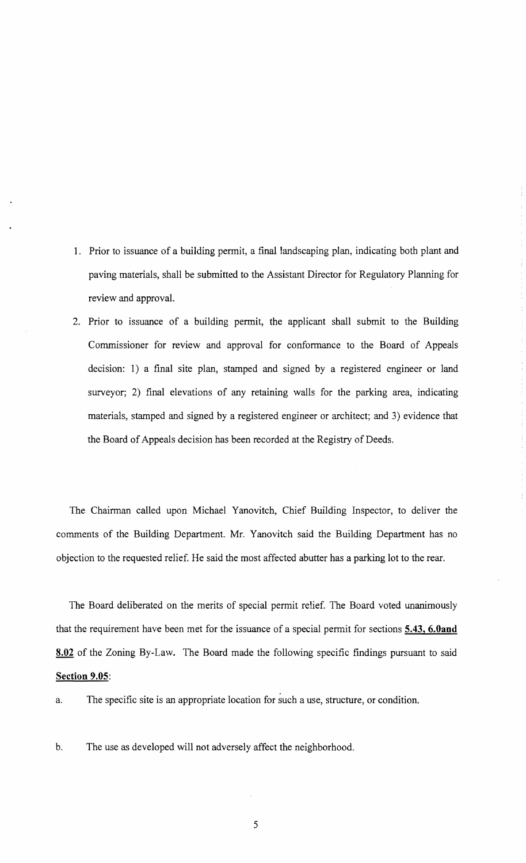- 1. Prior to issuance of a building permit, a final landscaping plan, indicating both plant and paving materials, shall be submitted to the Assistant Director for Regulatory Planning for review and approval.
- 2. Prior to issuance of a building permit, the applicant shall submit to the Building Commissioner for review and approval for conformance to the Board of Appeals decision: 1) a final site plan, stamped and signed by a registered engineer or land surveyor; 2) final elevations of any retaining walls for the parking area, indicating materials, stamped and signed by a registered engineer or architect; and 3) evidence that the Board of Appeals decision has been recorded at the Registry of Deeds.

The Chairman called upon Michael Yanovitch, Chief Building Inspector, to deliver the comments of the Building Department. Mr. Yanovitch said the Building Department has no objection to the requested relief. He said the most affected abutter has a parking lot to the rear.

The Board deliberated on the merits of special permit relief. The Board voted unanimously that the requirement have been met for the issuance of a special permit for sections **5.43, 6.0and 8.02** of the Zoning By-Law. The Board made the following specific findings pursuant to said **Section 9.05:** 

a. The specific site is an appropriate location for such a use, structure, or condition.

b. The use as developed will not adversely affect the neighborhood.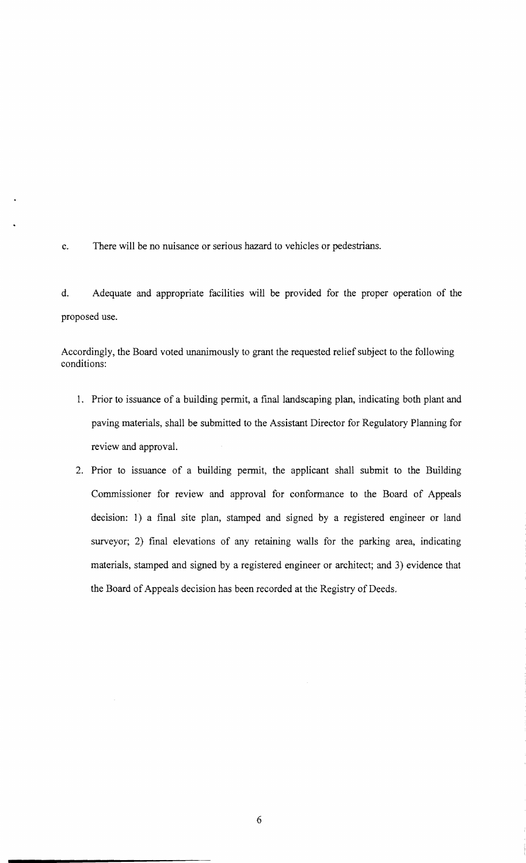c. There will be no nuisance or serious hazard to vehicles or pedestrians.

d. Adequate and appropriate facilities will be provided for the proper operation of the proposed use.

Accordingly, the Board voted unanimously to grant the requested relief subject to the following conditions:

- 1. Prior to issuance of a building permit, a final landscaping plan, indicating both plant and paving materials, shall be submitted to the Assistant Director for Regulatory Planning for review and approval.
- 2. Prior to issuance of a building permit, the applicant shall submit to the Building Commissioner for review and approval for conformance to the Board of Appeals decision: 1) a final site plan, stamped and signed by a registered engineer or land surveyor; 2) final elevations of any retaining walls for the parking area, indicating materials, stamped and signed by a registered engineer or architect; and 3) evidence that the Board of Appeals decision has been recorded at the Registry of Deeds.

6